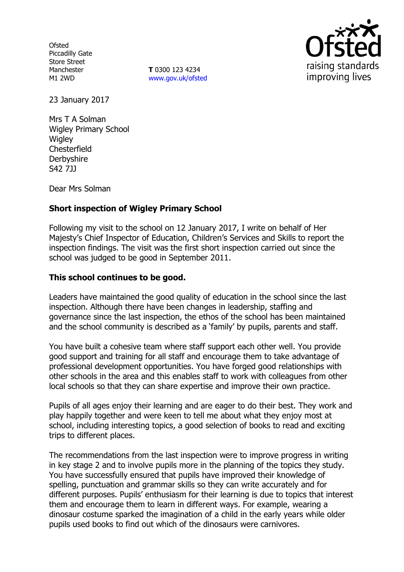**Ofsted** Piccadilly Gate Store Street Manchester M1 2WD

**T** 0300 123 4234 www.gov.uk/ofsted



23 January 2017

Mrs T A Solman Wigley Primary School Wigley **Chesterfield Derbyshire** S42 7JJ

Dear Mrs Solman

# **Short inspection of Wigley Primary School**

Following my visit to the school on 12 January 2017, I write on behalf of Her Majesty's Chief Inspector of Education, Children's Services and Skills to report the inspection findings. The visit was the first short inspection carried out since the school was judged to be good in September 2011.

### **This school continues to be good.**

Leaders have maintained the good quality of education in the school since the last inspection. Although there have been changes in leadership, staffing and governance since the last inspection, the ethos of the school has been maintained and the school community is described as a 'family' by pupils, parents and staff.

You have built a cohesive team where staff support each other well. You provide good support and training for all staff and encourage them to take advantage of professional development opportunities. You have forged good relationships with other schools in the area and this enables staff to work with colleagues from other local schools so that they can share expertise and improve their own practice.

Pupils of all ages enjoy their learning and are eager to do their best. They work and play happily together and were keen to tell me about what they enjoy most at school, including interesting topics, a good selection of books to read and exciting trips to different places.

The recommendations from the last inspection were to improve progress in writing in key stage 2 and to involve pupils more in the planning of the topics they study. You have successfully ensured that pupils have improved their knowledge of spelling, punctuation and grammar skills so they can write accurately and for different purposes. Pupils' enthusiasm for their learning is due to topics that interest them and encourage them to learn in different ways. For example, wearing a dinosaur costume sparked the imagination of a child in the early years while older pupils used books to find out which of the dinosaurs were carnivores.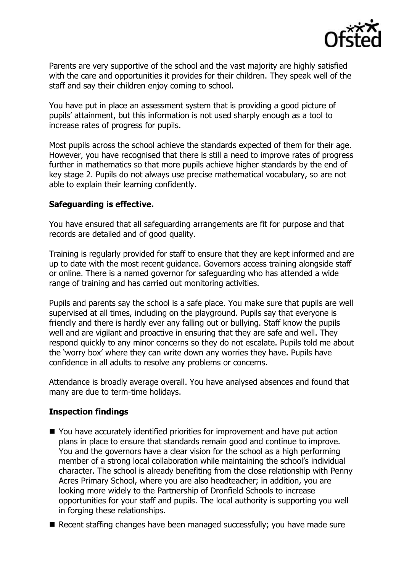

Parents are very supportive of the school and the vast majority are highly satisfied with the care and opportunities it provides for their children. They speak well of the staff and say their children enjoy coming to school.

You have put in place an assessment system that is providing a good picture of pupils' attainment, but this information is not used sharply enough as a tool to increase rates of progress for pupils.

Most pupils across the school achieve the standards expected of them for their age. However, you have recognised that there is still a need to improve rates of progress further in mathematics so that more pupils achieve higher standards by the end of key stage 2. Pupils do not always use precise mathematical vocabulary, so are not able to explain their learning confidently.

### **Safeguarding is effective.**

You have ensured that all safeguarding arrangements are fit for purpose and that records are detailed and of good quality.

Training is regularly provided for staff to ensure that they are kept informed and are up to date with the most recent guidance. Governors access training alongside staff or online. There is a named governor for safeguarding who has attended a wide range of training and has carried out monitoring activities.

Pupils and parents say the school is a safe place. You make sure that pupils are well supervised at all times, including on the playground. Pupils say that everyone is friendly and there is hardly ever any falling out or bullying. Staff know the pupils well and are vigilant and proactive in ensuring that they are safe and well. They respond quickly to any minor concerns so they do not escalate. Pupils told me about the 'worry box' where they can write down any worries they have. Pupils have confidence in all adults to resolve any problems or concerns.

Attendance is broadly average overall. You have analysed absences and found that many are due to term-time holidays.

## **Inspection findings**

- You have accurately identified priorities for improvement and have put action plans in place to ensure that standards remain good and continue to improve. You and the governors have a clear vision for the school as a high performing member of a strong local collaboration while maintaining the school's individual character. The school is already benefiting from the close relationship with Penny Acres Primary School, where you are also headteacher; in addition, you are looking more widely to the Partnership of Dronfield Schools to increase opportunities for your staff and pupils. The local authority is supporting you well in forging these relationships.
- Recent staffing changes have been managed successfully; you have made sure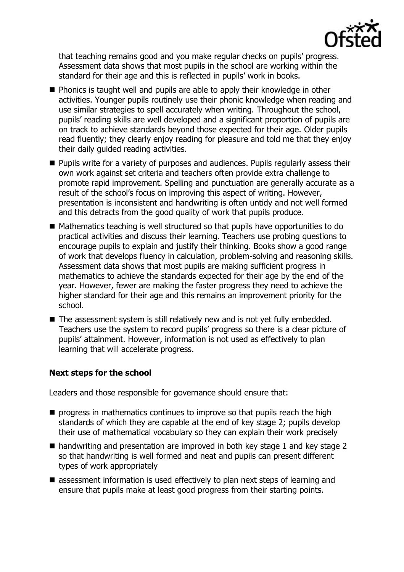

that teaching remains good and you make regular checks on pupils' progress. Assessment data shows that most pupils in the school are working within the standard for their age and this is reflected in pupils' work in books.

- **Phonics is taught well and pupils are able to apply their knowledge in other** activities. Younger pupils routinely use their phonic knowledge when reading and use similar strategies to spell accurately when writing. Throughout the school, pupils' reading skills are well developed and a significant proportion of pupils are on track to achieve standards beyond those expected for their age. Older pupils read fluently; they clearly enjoy reading for pleasure and told me that they enjoy their daily guided reading activities.
- **Pupils write for a variety of purposes and audiences. Pupils regularly assess their** own work against set criteria and teachers often provide extra challenge to promote rapid improvement. Spelling and punctuation are generally accurate as a result of the school's focus on improving this aspect of writing. However, presentation is inconsistent and handwriting is often untidy and not well formed and this detracts from the good quality of work that pupils produce.
- Mathematics teaching is well structured so that pupils have opportunities to do practical activities and discuss their learning. Teachers use probing questions to encourage pupils to explain and justify their thinking. Books show a good range of work that develops fluency in calculation, problem-solving and reasoning skills. Assessment data shows that most pupils are making sufficient progress in mathematics to achieve the standards expected for their age by the end of the year. However, fewer are making the faster progress they need to achieve the higher standard for their age and this remains an improvement priority for the school.
- The assessment system is still relatively new and is not yet fully embedded. Teachers use the system to record pupils' progress so there is a clear picture of pupils' attainment. However, information is not used as effectively to plan learning that will accelerate progress.

## **Next steps for the school**

Leaders and those responsible for governance should ensure that:

- **P** progress in mathematics continues to improve so that pupils reach the high standards of which they are capable at the end of key stage 2; pupils develop their use of mathematical vocabulary so they can explain their work precisely
- handwriting and presentation are improved in both key stage 1 and key stage 2 so that handwriting is well formed and neat and pupils can present different types of work appropriately
- assessment information is used effectively to plan next steps of learning and ensure that pupils make at least good progress from their starting points.